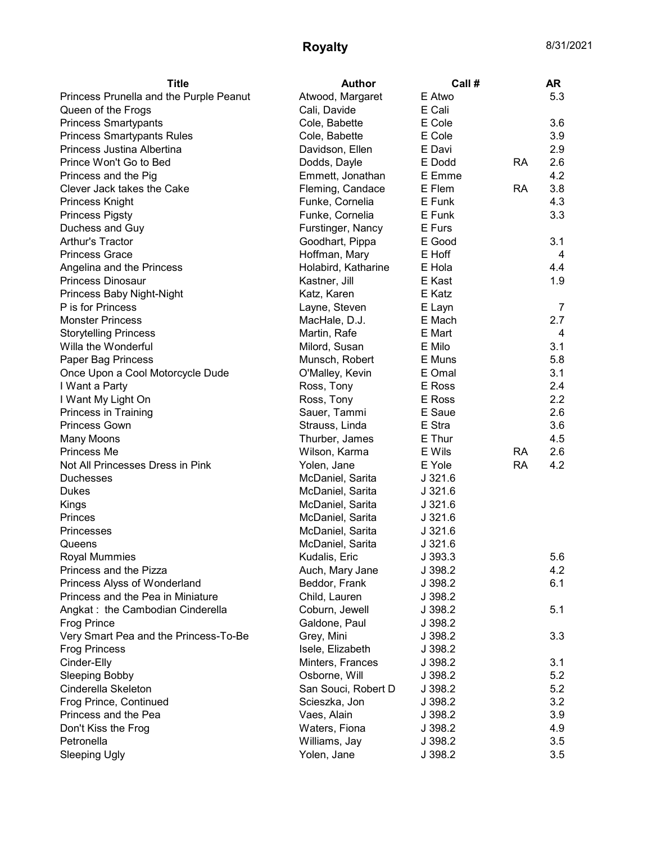## **Royalty** 8/31/2021

| <b>Title</b>                            | <b>Author</b>       | Call #    |           | <b>AR</b>      |
|-----------------------------------------|---------------------|-----------|-----------|----------------|
| Princess Prunella and the Purple Peanut | Atwood, Margaret    | E Atwo    |           | 5.3            |
| Queen of the Frogs                      | Cali, Davide        | E Cali    |           |                |
| <b>Princess Smartypants</b>             | Cole, Babette       | E Cole    |           | 3.6            |
| <b>Princess Smartypants Rules</b>       | Cole, Babette       | E Cole    |           | 3.9            |
| Princess Justina Albertina              | Davidson, Ellen     | E Davi    |           | 2.9            |
| Prince Won't Go to Bed                  | Dodds, Dayle        | E Dodd    | <b>RA</b> | 2.6            |
| Princess and the Pig                    | Emmett, Jonathan    | E Emme    |           | 4.2            |
| Clever Jack takes the Cake              | Fleming, Candace    | E Flem    | <b>RA</b> | 3.8            |
| Princess Knight                         | Funke, Cornelia     | E Funk    |           | 4.3            |
| <b>Princess Pigsty</b>                  | Funke, Cornelia     | E Funk    |           | 3.3            |
| Duchess and Guy                         | Furstinger, Nancy   | E Furs    |           |                |
| Arthur's Tractor                        | Goodhart, Pippa     | E Good    |           | 3.1            |
| <b>Princess Grace</b>                   | Hoffman, Mary       | E Hoff    |           | 4              |
| Angelina and the Princess               | Holabird, Katharine | E Hola    |           | 4.4            |
| <b>Princess Dinosaur</b>                | Kastner, Jill       | E Kast    |           | 1.9            |
| Princess Baby Night-Night               | Katz, Karen         | E Katz    |           |                |
| P is for Princess                       | Layne, Steven       | E Layn    |           | $\overline{7}$ |
| <b>Monster Princess</b>                 | MacHale, D.J.       | E Mach    |           | 2.7            |
| <b>Storytelling Princess</b>            | Martin, Rafe        | E Mart    |           | 4              |
| Willa the Wonderful                     | Milord, Susan       | E Milo    |           | 3.1            |
| Paper Bag Princess                      | Munsch, Robert      | E Muns    |           | 5.8            |
| Once Upon a Cool Motorcycle Dude        | O'Malley, Kevin     | E Omal    |           | 3.1            |
| I Want a Party                          | Ross, Tony          | E Ross    |           | 2.4            |
| I Want My Light On                      | Ross, Tony          | E Ross    |           | 2.2            |
| Princess in Training                    | Sauer, Tammi        | E Saue    |           | 2.6            |
| <b>Princess Gown</b>                    | Strauss, Linda      | E Stra    |           | 3.6            |
| Many Moons                              | Thurber, James      | E Thur    |           | 4.5            |
| Princess Me                             | Wilson, Karma       | E Wils    | RA        | 2.6            |
| Not All Princesses Dress in Pink        | Yolen, Jane         | E Yole    | <b>RA</b> | 4.2            |
| <b>Duchesses</b>                        | McDaniel, Sarita    | J321.6    |           |                |
| Dukes                                   | McDaniel, Sarita    | $J$ 321.6 |           |                |
| Kings                                   | McDaniel, Sarita    | $J$ 321.6 |           |                |
| Princes                                 | McDaniel, Sarita    | $J$ 321.6 |           |                |
| Princesses                              | McDaniel, Sarita    | J321.6    |           |                |
| Queens                                  | McDaniel, Sarita    | J321.6    |           |                |
| Royal Mummies                           | Kudalis, Eric       | J 393.3   |           | $5.6\,$        |
| Princess and the Pizza                  | Auch, Mary Jane     | J 398.2   |           | 4.2            |
| Princess Alyss of Wonderland            | Beddor, Frank       | J 398.2   |           | 6.1            |
| Princess and the Pea in Miniature       | Child, Lauren       | J 398.2   |           |                |
| Angkat: the Cambodian Cinderella        | Coburn, Jewell      | J 398.2   |           | 5.1            |
| <b>Frog Prince</b>                      | Galdone, Paul       | J 398.2   |           |                |
| Very Smart Pea and the Princess-To-Be   | Grey, Mini          | J 398.2   |           | 3.3            |
| <b>Frog Princess</b>                    | Isele, Elizabeth    | J 398.2   |           |                |
| Cinder-Elly                             | Minters, Frances    | J 398.2   |           | 3.1            |
| <b>Sleeping Bobby</b>                   | Osborne, Will       | J 398.2   |           | 5.2            |
| Cinderella Skeleton                     | San Souci, Robert D | J 398.2   |           | 5.2            |
| Frog Prince, Continued                  | Scieszka, Jon       | J 398.2   |           | 3.2            |
| Princess and the Pea                    | Vaes, Alain         | J 398.2   |           | 3.9            |
| Don't Kiss the Frog                     | Waters, Fiona       | J 398.2   |           | 4.9            |
| Petronella                              | Williams, Jay       | J 398.2   |           | 3.5            |
| <b>Sleeping Ugly</b>                    | Yolen, Jane         | J 398.2   |           | 3.5            |
|                                         |                     |           |           |                |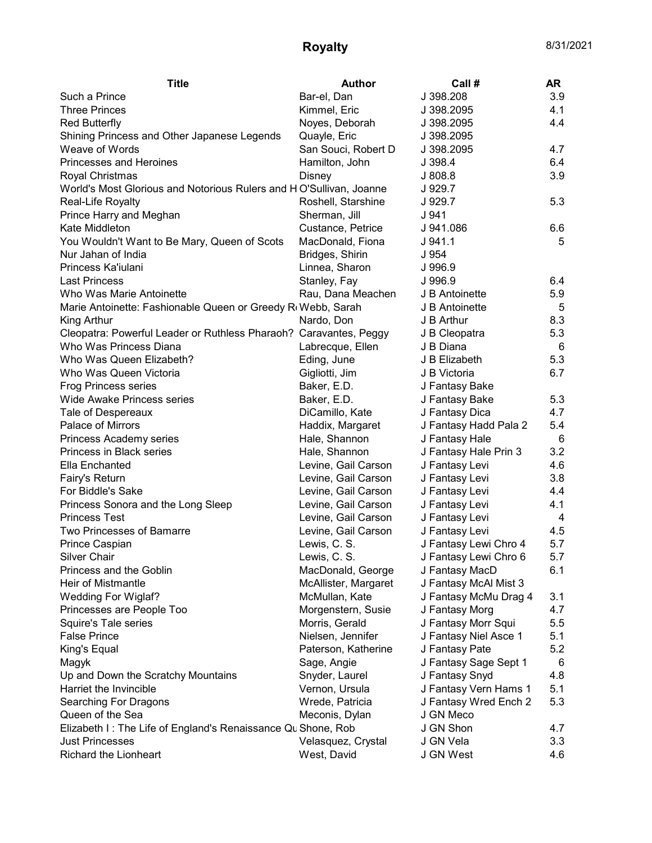## **Royalty** 8/31/2021

| <b>Title</b>                                                       | <b>Author</b>        | Call #                                  | AR         |
|--------------------------------------------------------------------|----------------------|-----------------------------------------|------------|
| Such a Prince                                                      | Bar-el, Dan          | J 398.208                               | 3.9        |
| <b>Three Princes</b>                                               | Kimmel, Eric         | J 398.2095                              | 4.1        |
| <b>Red Butterfly</b>                                               | Noyes, Deborah       | J 398.2095                              | 4.4        |
| Shining Princess and Other Japanese Legends                        | Quayle, Eric         | J 398.2095                              |            |
| Weave of Words                                                     | San Souci, Robert D  | J 398.2095                              | 4.7        |
| Princesses and Heroines                                            | Hamilton, John       | J 398.4                                 | 6.4        |
| Royal Christmas                                                    | Disney               | J808.8                                  | 3.9        |
| World's Most Glorious and Notorious Rulers and HO'Sullivan, Joanne |                      | J 929.7                                 |            |
| Real-Life Royalty                                                  | Roshell, Starshine   | J 929.7                                 | 5.3        |
| Prince Harry and Meghan                                            | Sherman, Jill        | J 941                                   |            |
| Kate Middleton                                                     | Custance, Petrice    | J 941.086                               | 6.6        |
| You Wouldn't Want to Be Mary, Queen of Scots                       | MacDonald, Fiona     | J.941.1                                 | 5          |
| Nur Jahan of India                                                 | Bridges, Shirin      | J 954                                   |            |
| Princess Ka'iulani                                                 | Linnea, Sharon       | J 996.9                                 |            |
| <b>Last Princess</b>                                               | Stanley, Fay         | J 996.9                                 | 6.4        |
| Who Was Marie Antoinette                                           | Rau, Dana Meachen    | J B Antoinette                          | 5.9        |
| Marie Antoinette: Fashionable Queen or Greedy R(Webb, Sarah        |                      | J B Antoinette                          | 5          |
| King Arthur                                                        | Nardo, Don           | J B Arthur                              | 8.3        |
| Cleopatra: Powerful Leader or Ruthless Pharaoh? Caravantes, Peggy  |                      | J B Cleopatra                           | 5.3        |
| Who Was Princess Diana                                             | Labrecque, Ellen     | J B Diana                               | 6          |
| Who Was Queen Elizabeth?                                           | Eding, June          | J B Elizabeth                           | 5.3        |
| Who Was Queen Victoria                                             | Gigliotti, Jim       | J B Victoria                            | 6.7        |
| <b>Frog Princess series</b>                                        | Baker, E.D.          | J Fantasy Bake                          |            |
| <b>Wide Awake Princess series</b>                                  | Baker, E.D.          | J Fantasy Bake                          | 5.3        |
| Tale of Despereaux                                                 | DiCamillo, Kate      | J Fantasy Dica                          | 4.7        |
| Palace of Mirrors                                                  | Haddix, Margaret     | J Fantasy Hadd Pala 2                   | 5.4        |
| Princess Academy series                                            | Hale, Shannon        | J Fantasy Hale                          | 6          |
| Princess in Black series                                           | Hale, Shannon        | J Fantasy Hale Prin 3                   | 3.2        |
| Ella Enchanted                                                     | Levine, Gail Carson  | J Fantasy Levi                          | 4.6        |
| Fairy's Return                                                     | Levine, Gail Carson  | J Fantasy Levi                          | 3.8        |
| For Biddle's Sake                                                  | Levine, Gail Carson  | J Fantasy Levi                          | 4.4        |
| Princess Sonora and the Long Sleep                                 | Levine, Gail Carson  | J Fantasy Levi                          | 4.1        |
| <b>Princess Test</b>                                               | Levine, Gail Carson  | J Fantasy Levi                          | 4          |
| Two Princesses of Bamarre                                          | Levine, Gail Carson  | J Fantasy Levi                          | 4.5        |
| Prince Caspian                                                     | Lewis, C. S.         | J Fantasy Lewi Chro 4                   | 5.7        |
| Silver Chair                                                       | Lewis, C. S.         | J Fantasy Lewi Chro 6                   | 5.7        |
| Princess and the Goblin                                            | MacDonald, George    | J Fantasy MacD                          | 6.1        |
| Heir of Mistmantle                                                 | McAllister, Margaret | J Fantasy McAl Mist 3                   |            |
| Wedding For Wiglaf?                                                | McMullan, Kate       | J Fantasy McMu Drag 4                   | 3.1        |
| Princesses are People Too                                          | Morgenstern, Susie   | J Fantasy Morg                          | 4.7        |
| Squire's Tale series                                               | Morris, Gerald       | J Fantasy Morr Squi                     | 5.5        |
| <b>False Prince</b>                                                | Nielsen, Jennifer    | J Fantasy Niel Asce 1                   | 5.1        |
| King's Equal                                                       | Paterson, Katherine  |                                         | 5.2        |
|                                                                    |                      | J Fantasy Pate<br>J Fantasy Sage Sept 1 |            |
| Magyk                                                              | Sage, Angie          |                                         | 6          |
| Up and Down the Scratchy Mountains                                 | Snyder, Laurel       | J Fantasy Snyd                          | 4.8<br>5.1 |
| Harriet the Invincible                                             | Vernon, Ursula       | J Fantasy Vern Hams 1                   |            |
| <b>Searching For Dragons</b>                                       | Wrede, Patricia      | J Fantasy Wred Ench 2                   | 5.3        |
| Queen of the Sea                                                   | Meconis, Dylan       | J GN Meco                               |            |
| Elizabeth I: The Life of England's Renaissance Qu Shone, Rob       |                      | J GN Shon                               | 4.7        |
| <b>Just Princesses</b>                                             | Velasquez, Crystal   | J GN Vela                               | 3.3        |
| Richard the Lionheart                                              | West, David          | J GN West                               | 4.6        |